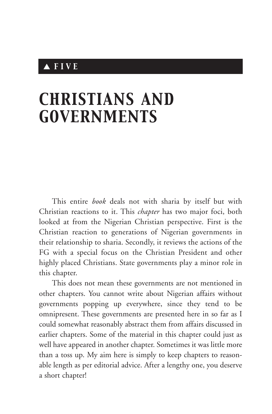# ▲ *FIVE*

# *CHRISTIANS AND GOVERNMENTS*

This entire *book* deals not with sharia by itself but with Christian reactions to it. This *chapter* has two major foci, both looked at from the Nigerian Christian perspective. First is the Christian reaction to generations of Nigerian governments in their relationship to sharia. Secondly, it reviews the actions of the FG with a special focus on the Christian President and other highly placed Christians. State governments play a minor role in this chapter.

This does not mean these governments are not mentioned in other chapters. You cannot write about Nigerian affairs without governments popping up everywhere, since they tend to be omnipresent. These governments are presented here in so far as I could somewhat reasonably abstract them from affairs discussed in earlier chapters. Some of the material in this chapter could just as well have appeared in another chapter. Sometimes it was little more than a toss up. My aim here is simply to keep chapters to reasonable length as per editorial advice. After a lengthy one, you deserve a short chapter!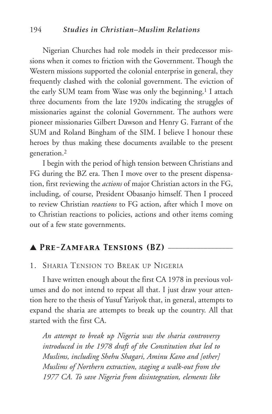#### 194 *Studies in Christian–Muslim Relations*

Nigerian Churches had role models in their predecessor missions when it comes to friction with the Government. Though the Western missions supported the colonial enterprise in general, they frequently clashed with the colonial government. The eviction of the early SUM team from Wase was only the beginning.<sup>1</sup> I attach three documents from the late 1920s indicating the struggles of missionaries against the colonial Government. The authors were pioneer missionaries Gilbert Dawson and Henry G. Farrant of the SUM and Roland Bingham of the SIM. I believe I honour these heroes by thus making these documents available to the present generation.2

I begin with the period of high tension between Christians and FG during the BZ era. Then I move over to the present dispensation, first reviewing the *actions* of major Christian actors in the FG, including, of course, President Obasanjo himself. Then I proceed to review Christian *reactions* to FG action, after which I move on to Christian reactions to policies, actions and other items coming out of a few state governments.

# ▲ *Pre-Zamfara Tensions (BZ)* \_\_\_\_\_\_\_\_\_\_\_\_\_\_\_\_\_\_

#### 1. SHARIA TENSION TO BREAK UP NIGERIA

I have written enough about the first CA 1978 in previous volumes and do not intend to repeat all that. I just draw your attention here to the thesis of Yusuf Yariyok that, in general, attempts to expand the sharia are attempts to break up the country. All that started with the first CA.

*An attempt to break up Nigeria was the sharia controversy introduced in the 1978 draft of the Constitution that led to Muslims, including Shehu Shagari, Aminu Kano and [other] Muslims of Northern extraction, staging a walk-out from the 1977 CA. To save Nigeria from disintegration, elements like*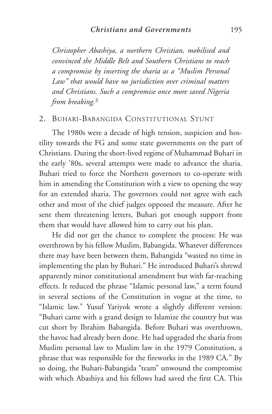*Christopher Abashiya, a northern Christian, mobilised and convinced the Middle Belt and Southern Christians to reach a compromise by inserting the sharia as a "Muslim Personal Law" that would have no jurisdiction over criminal matters and Christians. Such a compromise once more saved Nigeria from breaking.*<sup>3</sup>

# 2. BUHARI-BABANGIDA CONSTITUTIONAL STUNT

The 1980s were a decade of high tension, suspicion and hostility towards the FG and some state governments on the part of Christians. During the short-lived regime of Muhammad Buhari in the early '80s, several attempts were made to advance the sharia. Buhari tried to force the Northern governors to co-operate with him in amending the Constitution with a view to opening the way for an extended sharia. The governors could not agree with each other and most of the chief judges opposed the measure. After he sent them threatening letters, Buhari got enough support from them that would have allowed him to carry out his plan.

He did not get the chance to complete the process: He was overthrown by his fellow Muslim, Babangida. Whatever differences there may have been between them, Babangida "wasted no time in implementing the plan by Buhari." He introduced Buhari's shrewd apparently minor constitutional amendment but with far-reaching effects. It reduced the phrase "Islamic personal law," a term found in several sections of the Constitution in vogue at the time, to "Islamic law." Yusuf Yariyok wrote a slightly different version: "Buhari came with a grand design to Islamize the country but was cut short by Ibrahim Babangida. Before Buhari was overthrown, the havoc had already been done. He had upgraded the sharia from Muslim personal law to Muslim law in the 1979 Constitution, a phrase that was responsible for the fireworks in the 1989 CA." By so doing, the Buhari-Babangida "team" unwound the compromise with which Abashiya and his fellows had saved the first CA. This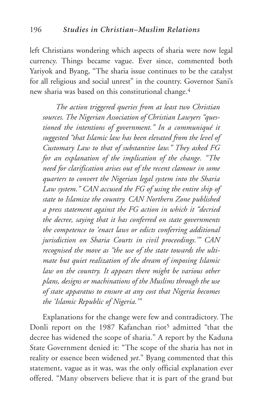left Christians wondering which aspects of sharia were now legal currency. Things became vague. Ever since, commented both Yariyok and Byang, "The sharia issue continues to be the catalyst for all religious and social unrest" in the country. Governor Sani's new sharia was based on this constitutional change.4

*The action triggered queries from at least two Christian sources. The Nigerian Association of Christian Lawyers "questioned the intentions of government." In a communiqué it suggested "that Islamic law has been elevated from the level of Customary Law to that of substantive law." They asked FG for an explanation of the implication of the change. "The need for clarification arises out of the recent clamour in some quarters to convert the Nigerian legal system into the Sharia Law system." CAN accused the FG of using the entire ship of state to Islamize the country. CAN Northern Zone published a press statement against the FG action in which it "decried the decree, saying that it has conferred on state governments the competence to 'enact laws or edicts conferring additional jurisdiction on Sharia Courts in civil proceedings.'" CAN recognised the move as "the use of the state towards the ultimate but quiet realization of the dream of imposing Islamic law on the country. It appears there might be various other plans, designs or machinations of the Muslims through the use of state apparatus to ensure at any cost that Nigeria becomes the 'Islamic Republic of Nigeria.'"*

Explanations for the change were few and contradictory. The Donli report on the 1987 Kafanchan riot<sup>5</sup> admitted "that the decree has widened the scope of sharia." A report by the Kaduna State Government denied it: "The scope of the sharia has not in reality or essence been widened *yet*." Byang commented that this statement, vague as it was, was the only official explanation ever offered. "Many observers believe that it is part of the grand but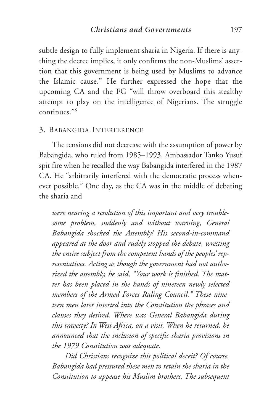subtle design to fully implement sharia in Nigeria. If there is anything the decree implies, it only confirms the non-Muslims' assertion that this government is being used by Muslims to advance the Islamic cause." He further expressed the hope that the upcoming CA and the FG "will throw overboard this stealthy attempt to play on the intelligence of Nigerians. The struggle continues."6

#### 3. BABANGIDA INTERFERENCE

The tensions did not decrease with the assumption of power by Babangida, who ruled from 1985–1993. Ambassador Tanko Yusuf spit fire when he recalled the way Babangida interfered in the 1987 CA. He "arbitrarily interfered with the democratic process whenever possible." One day, as the CA was in the middle of debating the sharia and

*were nearing a resolution of this important and very troublesome problem, suddenly and without warning, General Babangida shocked the Assembly! His second-in-command appeared at the door and rudely stopped the debate, wresting the entire subject from the competent hands of the peoples' representatives. Acting as though the government had not authorized the assembly, he said, "Your work is finished. The matter has been placed in the hands of nineteen newly selected members of the Armed Forces Ruling Council." These nineteen men later inserted into the Constitution the phrases and clauses they desired. Where was General Babangida during this travesty? In West Africa, on a visit. When he returned, he announced that the inclusion of specific sharia provisions in the 1979 Constitution was adequate.*

*Did Christians recognize this political deceit? Of course. Babangida had pressured these men to retain the sharia in the Constitution to appease his Muslim brothers. The subsequent*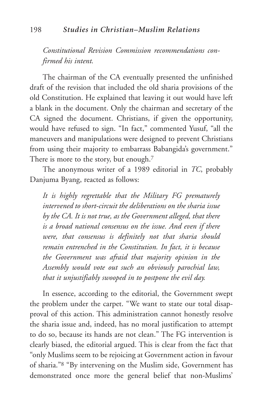*Constitutional Revision Commission recommendations confirmed his intent.*

The chairman of the CA eventually presented the unfinished draft of the revision that included the old sharia provisions of the old Constitution. He explained that leaving it out would have left a blank in the document. Only the chairman and secretary of the CA signed the document. Christians, if given the opportunity, would have refused to sign. "In fact," commented Yusuf, "all the maneuvers and manipulations were designed to prevent Christians from using their majority to embarrass Babangida's government." There is more to the story, but enough.<sup>7</sup>

The anonymous writer of a 1989 editorial in *TC*, probably Danjuma Byang, reacted as follows:

*It is highly regrettable that the Military FG prematurely intervened to short-circuit the deliberations on the sharia issue by the CA. It is not true, as the Government alleged, that there is a broad national consensus on the issue. And even if there were, that consensus is definitely not that sharia should remain entrenched in the Constitution. In fact, it is because the Government was afraid that majority opinion in the Assembly would vote out such an obviously parochial law, that it unjustifiably swooped in to postpone the evil day.*

In essence, according to the editorial, the Government swept the problem under the carpet. "We want to state our total disapproval of this action. This administration cannot honestly resolve the sharia issue and, indeed, has no moral justification to attempt to do so, because its hands are not clean." The FG intervention is clearly biased, the editorial argued. This is clear from the fact that "only Muslims seem to be rejoicing at Government action in favour of sharia."8 "By intervening on the Muslim side, Government has demonstrated once more the general belief that non-Muslims'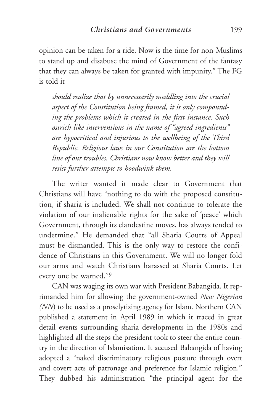opinion can be taken for a ride. Now is the time for non-Muslims to stand up and disabuse the mind of Government of the fantasy that they can always be taken for granted with impunity." The FG is told it

*should realize that by unnecessarily meddling into the crucial aspect of the Constitution being framed, it is only compounding the problems which it created in the first instance. Such ostrich-like interventions in the name of "agreed ingredients" are hypocritical and injurious to the wellbeing of the Third Republic. Religious laws in our Constitution are the bottom line of our troubles. Christians now know better and they will resist further attempts to hoodwink them.*

The writer wanted it made clear to Government that Christians will have "nothing to do with the proposed constitution, if sharia is included. We shall not continue to tolerate the violation of our inalienable rights for the sake of 'peace' which Government, through its clandestine moves, has always tended to undermine." He demanded that "all Sharia Courts of Appeal must be dismantled. This is the only way to restore the confidence of Christians in this Government. We will no longer fold our arms and watch Christians harassed at Sharia Courts. Let every one be warned."9

CAN was waging its own war with President Babangida. It reprimanded him for allowing the government-owned *New Nigerian (NN*) to be used as a proselytizing agency for Islam. Northern CAN published a statement in April 1989 in which it traced in great detail events surrounding sharia developments in the 1980s and highlighted all the steps the president took to steer the entire country in the direction of Islamisation. It accused Babangida of having adopted a "naked discriminatory religious posture through overt and covert acts of patronage and preference for Islamic religion." They dubbed his administration "the principal agent for the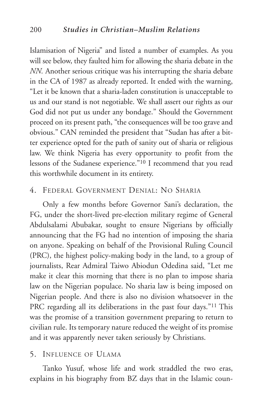Islamisation of Nigeria" and listed a number of examples. As you will see below, they faulted him for allowing the sharia debate in the *NN.* Another serious critique was his interrupting the sharia debate in the CA of 1987 as already reported. It ended with the warning, "Let it be known that a sharia-laden constitution is unacceptable to us and our stand is not negotiable. We shall assert our rights as our God did not put us under any bondage." Should the Government proceed on its present path, "the consequences will be too grave and obvious." CAN reminded the president that "Sudan has after a bitter experience opted for the path of sanity out of sharia or religious law. We think Nigeria has every opportunity to profit from the lessons of the Sudanese experience."10 I recommend that you read this worthwhile document in its entirety.

## 4. FEDERAL GOVERNMENT DENIAL: NO SHARIA

Only a few months before Governor Sani's declaration, the FG, under the short-lived pre-election military regime of General Abdulsalami Abubakar, sought to ensure Nigerians by officially announcing that the FG had no intention of imposing the sharia on anyone. Speaking on behalf of the Provisional Ruling Council (PRC), the highest policy-making body in the land, to a group of journalists, Rear Admiral Taiwo Abiodun Odedina said, "Let me make it clear this morning that there is no plan to impose sharia law on the Nigerian populace. No sharia law is being imposed on Nigerian people. And there is also no division whatsoever in the PRC regarding all its deliberations in the past four days."11 This was the promise of a transition government preparing to return to civilian rule. Its temporary nature reduced the weight of its promise and it was apparently never taken seriously by Christians.

#### 5. INFLUENCE OF ULAMA

Tanko Yusuf, whose life and work straddled the two eras, explains in his biography from BZ days that in the Islamic coun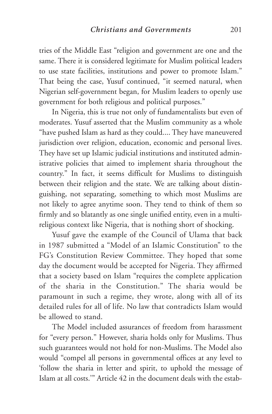tries of the Middle East "religion and government are one and the same. There it is considered legitimate for Muslim political leaders to use state facilities, institutions and power to promote Islam." That being the case, Yusuf continued, "it seemed natural, when Nigerian self-government began, for Muslim leaders to openly use government for both religious and political purposes."

In Nigeria, this is true not only of fundamentalists but even of moderates. Yusuf asserted that the Muslim community as a whole "have pushed Islam as hard as they could.... They have maneuvered jurisdiction over religion, education, economic and personal lives. They have set up Islamic judicial institutions and instituted administrative policies that aimed to implement sharia throughout the country." In fact, it seems difficult for Muslims to distinguish between their religion and the state. We are talking about distinguishing, not separating, something to which most Muslims are not likely to agree anytime soon. They tend to think of them so firmly and so blatantly as one single unified entity, even in a multireligious context like Nigeria, that is nothing short of shocking.

Yusuf gave the example of the Council of Ulama that back in 1987 submitted a "Model of an Islamic Constitution" to the FG's Constitution Review Committee. They hoped that some day the document would be accepted for Nigeria. They affirmed that a society based on Islam "requires the complete application of the sharia in the Constitution." The sharia would be paramount in such a regime, they wrote, along with all of its detailed rules for all of life. No law that contradicts Islam would be allowed to stand.

The Model included assurances of freedom from harassment for "every person." However, sharia holds only for Muslims. Thus such guarantees would not hold for non-Muslims. The Model also would "compel all persons in governmental offices at any level to 'follow the sharia in letter and spirit, to uphold the message of Islam at all costs.'" Article 42 in the document deals with the estab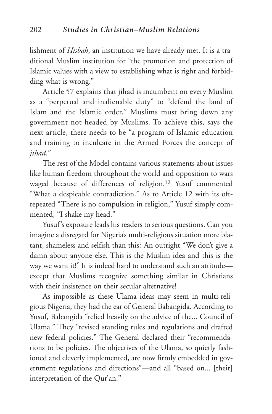lishment of *Hisbah*, an institution we have already met. It is a traditional Muslim institution for "the promotion and protection of Islamic values with a view to establishing what is right and forbidding what is wrong."

Article 57 explains that jihad is incumbent on every Muslim as a "perpetual and inalienable duty" to "defend the land of Islam and the Islamic order." Muslims must bring down any government not headed by Muslims. To achieve this, says the next article, there needs to be "a program of Islamic education and training to inculcate in the Armed Forces the concept of *jihad*."

The rest of the Model contains various statements about issues like human freedom throughout the world and opposition to wars waged because of differences of religion.12 Yusuf commented "What a despicable contradiction." As to Article 12 with its oftrepeated "There is no compulsion in religion," Yusuf simply commented, "I shake my head."

Yusuf's exposure leads his readers to serious questions. Can you imagine a disregard for Nigeria's multi-religious situation more blatant, shameless and selfish than this? An outright "We don't give a damn about anyone else. This is the Muslim idea and this is the way we want it!" It is indeed hard to understand such an attitude except that Muslims recognize something similar in Christians with their insistence on their secular alternative!

As impossible as these Ulama ideas may seem in multi-religious Nigeria, they had the ear of General Babangida. According to Yusuf, Babangida "relied heavily on the advice of the... Council of Ulama." They "revised standing rules and regulations and drafted new federal policies." The General declared their "recommendations to be policies. The objectives of the Ulama, so quietly fashioned and cleverly implemented, are now firmly embedded in government regulations and directions"—and all "based on... [their] interpretation of the Qur'an."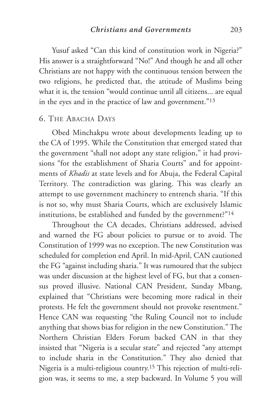Yusuf asked "Can this kind of constitution work in Nigeria?" His answer is a straightforward "No!" And though he and all other Christians are not happy with the continuous tension between the two religions, he predicted that, the attitude of Muslims being what it is, the tension "would continue until all citizens... are equal in the eyes and in the practice of law and government."13

#### 6. THE ABACHA DAYS

Obed Minchakpu wrote about developments leading up to the CA of 1995. While the Constitution that emerged stated that the government "shall not adopt any state religion," it had provisions "for the establishment of Sharia Courts" and for appointments of *Khadis* at state levels and for Abuja, the Federal Capital Territory. The contradiction was glaring. This was clearly an attempt to use government machinery to entrench sharia. "If this is not so, why must Sharia Courts, which are exclusively Islamic institutions, be established and funded by the government?"14

Throughout the CA decades, Christians addressed, advised and warned the FG about policies to pursue or to avoid. The Constitution of 1999 was no exception. The new Constitution was scheduled for completion end April. In mid-April, CAN cautioned the FG "against including sharia." It was rumoured that the subject was under discussion at the highest level of FG, but that a consensus proved illusive. National CAN President, Sunday Mbang, explained that "Christians were becoming more radical in their protests. He felt the government should not provoke resentment." Hence CAN was requesting "the Ruling Council not to include anything that shows bias for religion in the new Constitution." The Northern Christian Elders Forum backed CAN in that they insisted that "Nigeria is a secular state" and rejected "any attempt to include sharia in the Constitution." They also denied that Nigeria is a multi-religious country.15 This rejection of multi-religion was, it seems to me, a step backward. In Volume 5 you will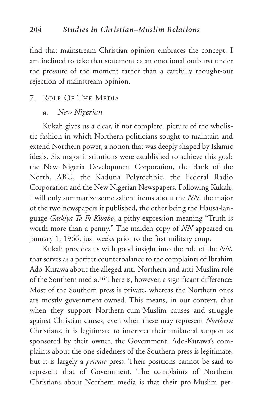find that mainstream Christian opinion embraces the concept. I am inclined to take that statement as an emotional outburst under the pressure of the moment rather than a carefully thought-out rejection of mainstream opinion.

#### 7. ROLE OF THE MEDIA

#### *a. New Nigerian*

Kukah gives us a clear, if not complete, picture of the wholistic fashion in which Northern politicians sought to maintain and extend Northern power, a notion that was deeply shaped by Islamic ideals. Six major institutions were established to achieve this goal: the New Nigeria Development Corporation, the Bank of the North, ABU, the Kaduna Polytechnic, the Federal Radio Corporation and the New Nigerian Newspapers. Following Kukah, I will only summarize some salient items about the *NN*, the major of the two newspapers it published, the other being the Hausa-language *Gaskiya Ta Fi Kwabo*, a pithy expression meaning "Truth is worth more than a penny." The maiden copy of *NN* appeared on January 1, 1966, just weeks prior to the first military coup.

Kukah provides us with good insight into the role of the *NN*, that serves as a perfect counterbalance to the complaints of Ibrahim Ado-Kurawa about the alleged anti-Northern and anti-Muslim role of the Southern media.16 There is, however, a significant difference: Most of the Southern press is private, whereas the Northern ones are mostly government-owned. This means, in our context, that when they support Northern-cum-Muslim causes and struggle against Christian causes, even when these may represent *Northern* Christians, it is legitimate to interpret their unilateral support as sponsored by their owner, the Government. Ado-Kurawa's complaints about the one-sidedness of the Southern press is legitimate, but it is largely a *private* press. Their positions cannot be said to represent that of Government. The complaints of Northern Christians about Northern media is that their pro-Muslim per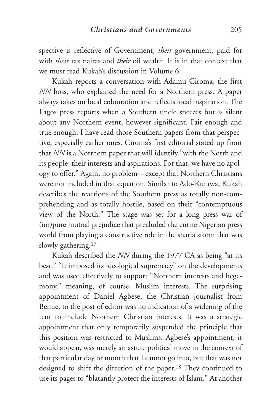spective is reflective of Government, *their* government, paid for with *their* tax nairas and *their* oil wealth. It is in that context that we must read Kukah's discussion in Volume 6.

Kukah reports a conversation with Adamu Ciroma, the first *NN* boss, who explained the need for a Northern press. A paper always takes on local colouration and reflects local inspiration. The Lagos press reports when a Southern uncle sneezes but is silent about any Northern event, however significant. Fair enough and true enough. I have read those Southern papers from that perspective, especially earlier ones. Ciroma's first editorial stated up front that *NN* is a Northern paper that will identify "with the North and its people, their interests and aspirations. For that, we have no apology to offer." Again, no problem—except that Northern Christians were not included in that equation. Similar to Ado-Kurawa, Kukah describes the reactions of the Southern press as totally non-comprehending and as totally hostile, based on their "contemptuous view of the North." The stage was set for a long press war of (im)pure mutual prejudice that precluded the entire Nigerian press world from playing a constructive role in the sharia storm that was slowly gathering.17

Kukah described the *NN* during the 1977 CA as being "at its best." "It imposed its ideological supremacy" on the developments and was used effectively to support "Northern interests and hegemony," meaning, of course, Muslim interests. The surprising appointment of Daniel Agbese, the Christian journalist from Benue, to the post of editor was no indication of a widening of the tent to include Northern Christian interests. It was a strategic appointment that only temporarily suspended the principle that this position was restricted to Muslims. Agbese's appointment, it would appear, was merely an astute political move in the context of that particular day or month that I cannot go into, but that was not designed to shift the direction of the paper.18 They continued to use its pages to "blatantly protect the interests of Islam." At another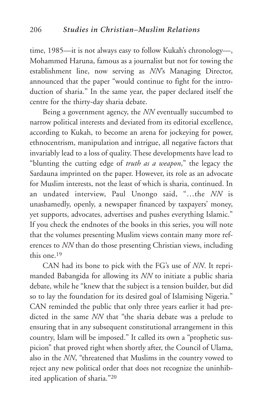time, 1985—it is not always easy to follow Kukah's chronology—, Mohammed Haruna, famous as a journalist but not for towing the establishment line, now serving as *NN*'s Managing Director, announced that the paper "would continue to fight for the introduction of sharia." In the same year, the paper declared itself the centre for the thirty-day sharia debate.

Being a government agency, the *NN* eventually succumbed to narrow political interests and deviated from its editorial excellence, according to Kukah, to become an arena for jockeying for power, ethnocentrism, manipulation and intrigue, all negative factors that invariably lead to a loss of quality. These developments have lead to "blunting the cutting edge of *truth as a weapon*," the legacy the Sardauna imprinted on the paper. However, its role as an advocate for Muslim interests, not the least of which is sharia, continued. In an undated interview, Paul Unongo said, "…the *NN* is unashamedly, openly, a newspaper financed by taxpayers' money, yet supports, advocates, advertises and pushes everything Islamic." If you check the endnotes of the books in this series, you will note that the volumes presenting Muslim views contain many more references to *NN* than do those presenting Christian views, including this one <sup>19</sup>

CAN had its bone to pick with the FG's use of *NN*. It reprimanded Babangida for allowing its *NN* to initiate a public sharia debate, while he "knew that the subject is a tension builder, but did so to lay the foundation for its desired goal of Islamising Nigeria." CAN reminded the public that only three years earlier it had predicted in the same *NN* that "the sharia debate was a prelude to ensuring that in any subsequent constitutional arrangement in this country, Islam will be imposed." It called its own a "prophetic suspicion" that proved right when shortly after, the Council of Ulama, also in the *NN*, "threatened that Muslims in the country vowed to reject any new political order that does not recognize the uninhibited application of sharia."20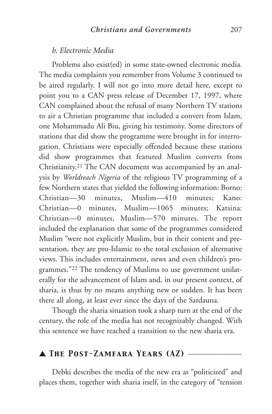#### *b. Electronic Media*

Problems also exist(ed) in some state-owned electronic media. The media complaints you remember from Volume 3 continued to be aired regularly. I will not go into more detail here, except to point you to a CAN press release of December 17, 1997, where CAN complained about the refusal of many Northern TV stations to air a Christian programme that included a convert from Islam, one Mohammadu Ali Biu, giving his testimony. Some directors of stations that did show the programme were brought in for interrogation. Christians were especially offended because these stations did show programmes that featured Muslim converts from Christianity.21 The CAN document was accompanied by an analysis by *Worldreach Nigeria* of the religious TV programming of a few Northern states that yielded the following information: Borno: Christian—30 minutes, Muslim—410 minutes; Kano: Christian—0 minutes, Muslim—1065 minutes; Katsina: Christian—0 minutes, Muslim—570 minutes. The report included the explanation that some of the programmes considered Muslim "were not explicitly Muslim, but in their content and presentation, they are pro-Islamic to the total exclusion of alternative views. This includes entertainment, news and even children's programmes."22 The tendency of Muslims to use government unilaterally for the advancement of Islam and, in our present context, of sharia, is thus by no means anything new or sudden. It has been there all along, at least ever since the days of the Sardauna.

Though the sharia situation took a sharp turn at the end of the century, the role of the media has not recognizably changed. With this sentence we have reached a transition to the new sharia era.

## ▲ *The Post-Zamfara Years (AZ)* \_\_\_\_\_\_\_\_\_\_\_\_\_\_\_

Debki describes the media of the new era as "politicized" and places them, together with sharia itself, in the category of "tension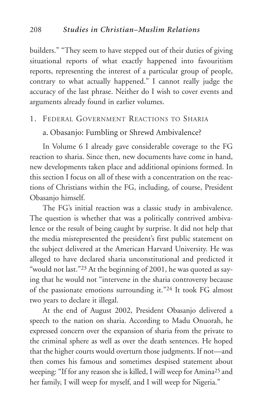builders." "They seem to have stepped out of their duties of giving situational reports of what exactly happened into favouritism reports, representing the interest of a particular group of people, contrary to what actually happened." I cannot really judge the accuracy of the last phrase. Neither do I wish to cover events and arguments already found in earlier volumes.

## 1. FEDERAL GOVERNMENT REACTIONS TO SHARIA

#### a. Obasanjo: Fumbling or Shrewd Ambivalence?

In Volume 6 I already gave considerable coverage to the FG reaction to sharia. Since then, new documents have come in hand, new developments taken place and additional opinions formed. In this section I focus on all of these with a concentration on the reactions of Christians within the FG, including, of course, President Obasanjo himself.

The FG's initial reaction was a classic study in ambivalence. The question is whether that was a politically contrived ambivalence or the result of being caught by surprise. It did not help that the media misrepresented the president's first public statement on the subject delivered at the American Harvard University. He was alleged to have declared sharia unconstitutional and predicted it "would not last."23 At the beginning of 2001, he was quoted as saying that he would not "intervene in the sharia controversy because of the passionate emotions surrounding it."24 It took FG almost two years to declare it illegal.

At the end of August 2002, President Obasanjo delivered a speech to the nation on sharia. According to Madu Onuorah, he expressed concern over the expansion of sharia from the private to the criminal sphere as well as over the death sentences. He hoped that the higher courts would overturn those judgments. If not—and then comes his famous and sometimes despised statement about weeping: "If for any reason she is killed, I will weep for Amina25 and her family, I will weep for myself, and I will weep for Nigeria."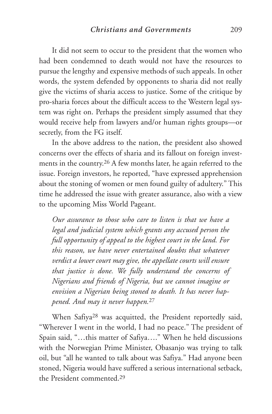It did not seem to occur to the president that the women who had been condemned to death would not have the resources to pursue the lengthy and expensive methods of such appeals. In other words, the system defended by opponents to sharia did not really give the victims of sharia access to justice. Some of the critique by pro-sharia forces about the difficult access to the Western legal system was right on. Perhaps the president simply assumed that they would receive help from lawyers and/or human rights groups—or secretly, from the FG itself.

In the above address to the nation, the president also showed concerns over the effects of sharia and its fallout on foreign investments in the country.26 A few months later, he again referred to the issue. Foreign investors, he reported, "have expressed apprehension about the stoning of women or men found guilty of adultery." This time he addressed the issue with greater assurance, also with a view to the upcoming Miss World Pageant.

*Our assurance to those who care to listen is that we have a legal and judicial system which grants any accused person the full opportunity of appeal to the highest court in the land. For this reason, we have never entertained doubts that whatever verdict a lower court may give, the appellate courts will ensure that justice is done. We fully understand the concerns of Nigerians and friends of Nigeria, but we cannot imagine or envision a Nigerian being stoned to death. It has never happened. And may it never happen.*<sup>27</sup>

When Safiya28 was acquitted, the President reportedly said, "Wherever I went in the world, I had no peace." The president of Spain said, "…this matter of Safiya…." When he held discussions with the Norwegian Prime Minister, Obasanjo was trying to talk oil, but "all he wanted to talk about was Safiya." Had anyone been stoned, Nigeria would have suffered a serious international setback, the President commented.29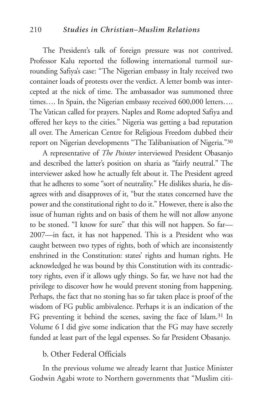#### 210 *Studies in Christian–Muslim Relations*

The President's talk of foreign pressure was not contrived. Professor Kalu reported the following international turmoil surrounding Safiya's case: "The Nigerian embassy in Italy received two container loads of protests over the verdict. A letter bomb was intercepted at the nick of time. The ambassador was summoned three times…. In Spain, the Nigerian embassy received 600,000 letters…. The Vatican called for prayers. Naples and Rome adopted Safiya and offered her keys to the cities." Nigeria was getting a bad reputation all over. The American Centre for Religious Freedom dubbed their report on Nigerian developments "The Talibanisation of Nigeria."30

A representative of *The Pointer* interviewed President Obasanjo and described the latter's position on sharia as "fairly neutral." The interviewer asked how he actually felt about it. The President agreed that he adheres to some "sort of neutrality." He dislikes sharia, he disagrees with and disapproves of it, "but the states concerned have the power and the constitutional right to do it." However, there is also the issue of human rights and on basis of them he will not allow anyone to be stoned. "I know for sure" that this will not happen. So far— 2007—in fact, it has not happened. This is a President who was caught between two types of rights, both of which are inconsistently enshrined in the Constitution: states' rights and human rights. He acknowledged he was bound by this Constitution with its contradictory rights, even if it allows ugly things. So far, we have not had the privilege to discover how he would prevent stoning from happening. Perhaps, the fact that no stoning has so far taken place is proof of the wisdom of FG public ambivalence. Perhaps it is an indication of the FG preventing it behind the scenes, saving the face of Islam.31 In Volume 6 I did give some indication that the FG may have secretly funded at least part of the legal expenses. So far President Obasanjo.

#### b. Other Federal Officials

In the previous volume we already learnt that Justice Minister Godwin Agabi wrote to Northern governments that "Muslim citi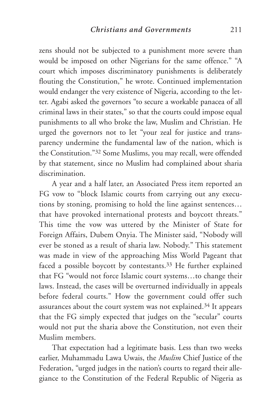zens should not be subjected to a punishment more severe than would be imposed on other Nigerians for the same offence." "A court which imposes discriminatory punishments is deliberately flouting the Constitution," he wrote. Continued implementation would endanger the very existence of Nigeria, according to the letter. Agabi asked the governors "to secure a workable panacea of all criminal laws in their states," so that the courts could impose equal punishments to all who broke the law, Muslim and Christian. He urged the governors not to let "your zeal for justice and transparency undermine the fundamental law of the nation, which is the Constitution."32 Some Muslims, you may recall, were offended by that statement, since no Muslim had complained about sharia discrimination.

A year and a half later, an Associated Press item reported an FG vow to "block Islamic courts from carrying out any executions by stoning, promising to hold the line against sentences… that have provoked international protests and boycott threats." This time the vow was uttered by the Minister of State for Foreign Affairs, Dubem Onyia. The Minister said, "Nobody will ever be stoned as a result of sharia law. Nobody." This statement was made in view of the approaching Miss World Pageant that faced a possible boycott by contestants.33 He further explained that FG "would not force Islamic court systems…to change their laws. Instead, the cases will be overturned individually in appeals before federal courts." How the government could offer such assurances about the court system was not explained.34 It appears that the FG simply expected that judges on the "secular" courts would not put the sharia above the Constitution, not even their Muslim members.

That expectation had a legitimate basis. Less than two weeks earlier, Muhammadu Lawa Uwais, the *Muslim* Chief Justice of the Federation, "urged judges in the nation's courts to regard their allegiance to the Constitution of the Federal Republic of Nigeria as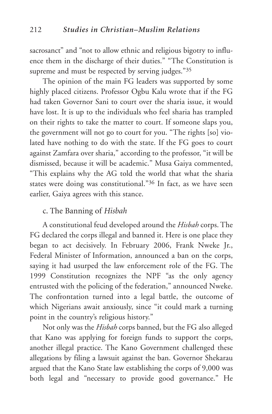sacrosanct" and "not to allow ethnic and religious bigotry to influence them in the discharge of their duties." "The Constitution is supreme and must be respected by serving judges."35

The opinion of the main FG leaders was supported by some highly placed citizens. Professor Ogbu Kalu wrote that if the FG had taken Governor Sani to court over the sharia issue, it would have lost. It is up to the individuals who feel sharia has trampled on their rights to take the matter to court. If someone slaps you, the government will not go to court for you. "The rights [so] violated have nothing to do with the state. If the FG goes to court against Zamfara over sharia," according to the professor, "it will be dismissed, because it will be academic." Musa Gaiya commented, "This explains why the AG told the world that what the sharia states were doing was constitutional."36 In fact, as we have seen earlier, Gaiya agrees with this stance.

### c. The Banning of *Hisbah*

A constitutional feud developed around the *Hisbah* corps. The FG declared the corps illegal and banned it. Here is one place they began to act decisively. In February 2006, Frank Nweke Jr., Federal Minister of Information, announced a ban on the corps, saying it had usurped the law enforcement role of the FG. The 1999 Constitution recognizes the NPF "as the only agency entrusted with the policing of the federation," announced Nweke. The confrontation turned into a legal battle, the outcome of which Nigerians await anxiously, since "it could mark a turning point in the country's religious history."

Not only was the *Hisbah* corps banned, but the FG also alleged that Kano was applying for foreign funds to support the corps, another illegal practice. The Kano Government challenged these allegations by filing a lawsuit against the ban. Governor Shekarau argued that the Kano State law establishing the corps of 9,000 was both legal and "necessary to provide good governance." He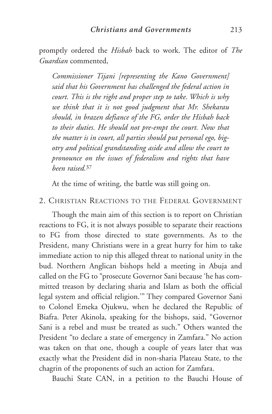promptly ordered the *Hisbah* back to work. The editor of *The Guardian* commented,

*Commissioner Tijani [representing the Kano Government] said that his Government has challenged the federal action in court. This is the right and proper step to take. Which is why we think that it is not good judgment that Mr. Shekarau should, in brazen defiance of the FG, order the Hisbah back to their duties. He should not pre-empt the court. Now that the matter is in court, all parties should put personal ego, bigotry and political grandstanding aside and allow the court to pronounce on the issues of federalism and rights that have been raised.*<sup>37</sup>

At the time of writing, the battle was still going on.

#### 2. CHRISTIAN REACTIONS TO THE FEDERAL GOVERNMENT

Though the main aim of this section is to report on Christian reactions to FG, it is not always possible to separate their reactions to FG from those directed to state governments. As to the President, many Christians were in a great hurry for him to take immediate action to nip this alleged threat to national unity in the bud. Northern Anglican bishops held a meeting in Abuja and called on the FG to "prosecute Governor Sani because 'he has committed treason by declaring sharia and Islam as both the official legal system and official religion.'" They compared Governor Sani to Colonel Emeka Ojukwu, when he declared the Republic of Biafra. Peter Akinola, speaking for the bishops, said, "Governor Sani is a rebel and must be treated as such." Others wanted the President "to declare a state of emergency in Zamfara." No action was taken on that one, though a couple of years later that was exactly what the President did in non-sharia Plateau State, to the chagrin of the proponents of such an action for Zamfara.

Bauchi State CAN, in a petition to the Bauchi House of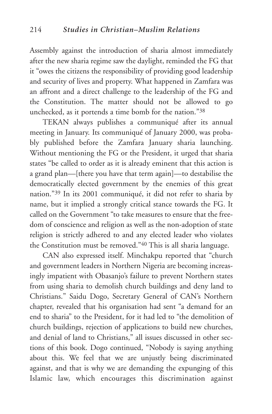Assembly against the introduction of sharia almost immediately after the new sharia regime saw the daylight, reminded the FG that it "owes the citizens the responsibility of providing good leadership and security of lives and property. What happened in Zamfara was an affront and a direct challenge to the leadership of the FG and the Constitution. The matter should not be allowed to go unchecked, as it portends a time bomb for the nation."38

TEKAN always publishes a communiqué after its annual meeting in January. Its communiqué of January 2000, was probably published before the Zamfara January sharia launching. Without mentioning the FG or the President, it urged that sharia states "be called to order as it is already eminent that this action is a grand plan—[there you have that term again]—to destabilise the democratically elected government by the enemies of this great nation."39 In its 2001 communiqué, it did not refer to sharia by name, but it implied a strongly critical stance towards the FG. It called on the Government "to take measures to ensure that the freedom of conscience and religion as well as the non-adoption of state religion is strictly adhered to and any elected leader who violates the Constitution must be removed."40 This is all sharia language.

CAN also expressed itself. Minchakpu reported that "church and government leaders in Northern Nigeria are becoming increasingly impatient with Obasanjo's failure to prevent Northern states from using sharia to demolish church buildings and deny land to Christians." Saidu Dogo, Secretary General of CAN's Northern chapter, revealed that his organisation had sent "a demand for an end to sharia" to the President, for it had led to "the demolition of church buildings, rejection of applications to build new churches, and denial of land to Christians," all issues discussed in other sections of this book. Dogo continued, "Nobody is saying anything about this. We feel that we are unjustly being discriminated against, and that is why we are demanding the expunging of this Islamic law, which encourages this discrimination against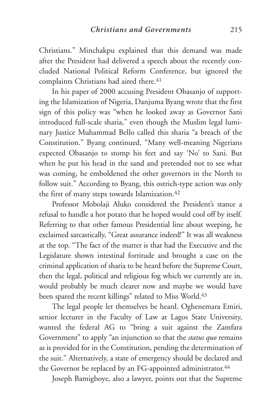Christians." Minchakpu explained that this demand was made after the President had delivered a speech about the recently concluded National Political Reform Conference, but ignored the complaints Christians had aired there.<sup>41</sup>

In his paper of 2000 accusing President Obasanjo of supporting the Islamization of Nigeria, Danjuma Byang wrote that the first sign of this policy was "when he looked away as Governor Sani introduced full-scale sharia," even though the Muslim legal luminary Justice Muhammad Bello called this sharia "a breach of the Constitution." Byang continued, "Many well-meaning Nigerians expected Obasanjo to stomp his feet and say 'No' to Sani. But when he put his head in the sand and pretended not to see what was coming, he emboldened the other governors in the North to follow suit." According to Byang, this ostrich-type action was only the first of many steps towards Islamization.<sup>42</sup>

Professor Mobolaji Aluko considered the President's stance a refusal to handle a hot potato that he hoped would cool off by itself. Referring to that other famous Presidential line about weeping, he exclaimed sarcastically, "Great assurance indeed!" It was all weakness at the top. "The fact of the matter is that had the Executive and the Legislature shown intestinal fortitude and brought a case on the criminal application of sharia to be heard before the Supreme Court, then the legal, political and religious fog which we currently are in, would probably be much clearer now and maybe we would have been spared the recent killings" related to Miss World.<sup>43</sup>

The legal people let themselves be heard. Oghenemara Emiri, senior lecturer in the Faculty of Law at Lagos State University, wanted the federal AG to "bring a suit against the Zamfara Government" to apply "an injunction so that the *status quo* remains as is provided for in the Constitution, pending the determination of the suit." Alternatively, a state of emergency should be declared and the Governor be replaced by an FG-appointed administrator.<sup>44</sup>

Joseph Bamigboye, also a lawyer, points out that the Supreme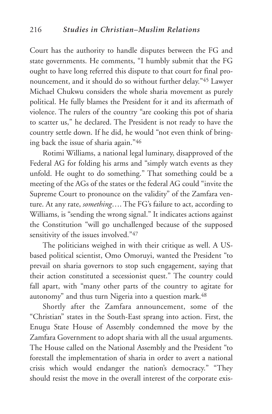Court has the authority to handle disputes between the FG and state governments. He comments, "I humbly submit that the FG ought to have long referred this dispute to that court for final pronouncement, and it should do so without further delay."45 Lawyer Michael Chukwu considers the whole sharia movement as purely political. He fully blames the President for it and its aftermath of violence. The rulers of the country "are cooking this pot of sharia to scatter us," he declared. The President is not ready to have the country settle down. If he did, he would "not even think of bringing back the issue of sharia again."46

Rotimi Williams, a national legal luminary, disapproved of the Federal AG for folding his arms and "simply watch events as they unfold. He ought to do something." That something could be a meeting of the AGs of the states or the federal AG could "invite the Supreme Court to pronounce on the validity" of the Zamfara venture. At any rate, *something*…. The FG's failure to act, according to Williams, is "sending the wrong signal." It indicates actions against the Constitution "will go unchallenged because of the supposed sensitivity of the issues involved."47

The politicians weighed in with their critique as well. A USbased political scientist, Omo Omoruyi, wanted the President "to prevail on sharia governors to stop such engagement, saying that their action constituted a secessionist quest." The country could fall apart, with "many other parts of the country to agitate for autonomy" and thus turn Nigeria into a question mark.<sup>48</sup>

Shortly after the Zamfara announcement, some of the "Christian" states in the South-East sprang into action. First, the Enugu State House of Assembly condemned the move by the Zamfara Government to adopt sharia with all the usual arguments. The House called on the National Assembly and the President "to forestall the implementation of sharia in order to avert a national crisis which would endanger the nation's democracy." "They should resist the move in the overall interest of the corporate exis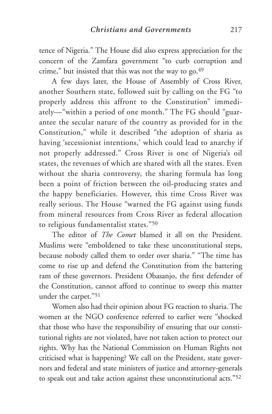tence of Nigeria." The House did also express appreciation for the concern of the Zamfara government "to curb corruption and crime," but insisted that this was not the way to go.<sup>49</sup>

A few days later, the House of Assembly of Cross River, another Southern state, followed suit by calling on the FG "to properly address this affront to the Constitution" immediately—"within a period of one month." The FG should "guarantee the secular nature of the country as provided for in the Constitution," while it described "the adoption of sharia as having 'secessionist intentions,' which could lead to anarchy if not properly addressed." Cross River is one of Nigeria's oil states, the revenues of which are shared with all the states. Even without the sharia controversy, the sharing formula has long been a point of friction between the oil-producing states and the happy beneficiaries. However, this time Cross River was really serious. The House "warned the FG against using funds from mineral resources from Cross River as federal allocation to religious fundamentalist states."50

The editor of *The Comet* blamed it all on the President. Muslims were "emboldened to take these unconstitutional steps, because nobody called them to order over sharia." "The time has come to rise up and defend the Constitution from the battering ram of these governors. President Obasanjo, the first defender of the Constitution, cannot afford to continue to sweep this matter under the carpet."51

Women also had their opinion about FG reaction to sharia. The women at the NGO conference referred to earlier were "shocked that those who have the responsibility of ensuring that our constitutional rights are not violated, have not taken action to protect our rights. Why has the National Commission on Human Rights not criticised what is happening? We call on the President, state governors and federal and state ministers of justice and attorney-generals to speak out and take action against these unconstitutional acts."52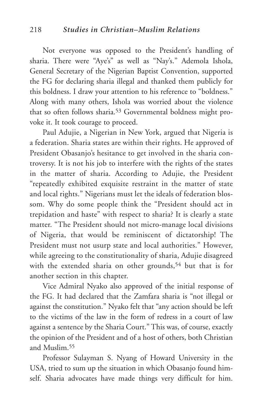Not everyone was opposed to the President's handling of sharia. There were "Aye's" as well as "Nay's." Ademola Ishola, General Secretary of the Nigerian Baptist Convention, supported the FG for declaring sharia illegal and thanked them publicly for this boldness. I draw your attention to his reference to "boldness." Along with many others, Ishola was worried about the violence that so often follows sharia.<sup>53</sup> Governmental boldness might provoke it. It took courage to proceed.

Paul Adujie, a Nigerian in New York, argued that Nigeria is a federation. Sharia states are within their rights. He approved of President Obasanjo's hesitance to get involved in the sharia controversy. It is not his job to interfere with the rights of the states in the matter of sharia. According to Adujie, the President "repeatedly exhibited exquisite restraint in the matter of state and local rights." Nigerians must let the ideals of federation blossom. Why do some people think the "President should act in trepidation and haste" with respect to sharia? It is clearly a state matter. "The President should not micro-manage local divisions of Nigeria, that would be reminiscent of dictatorship! The President must not usurp state and local authorities." However, while agreeing to the constitutionality of sharia, Adujie disagreed with the extended sharia on other grounds,<sup>54</sup> but that is for another section in this chapter.

Vice Admiral Nyako also approved of the initial response of the FG. It had declared that the Zamfara sharia is "not illegal or against the constitution." Nyako felt that "any action should be left to the victims of the law in the form of redress in a court of law against a sentence by the Sharia Court." This was, of course, exactly the opinion of the President and of a host of others, both Christian and Muslim.55

Professor Sulayman S. Nyang of Howard University in the USA, tried to sum up the situation in which Obasanjo found himself. Sharia advocates have made things very difficult for him.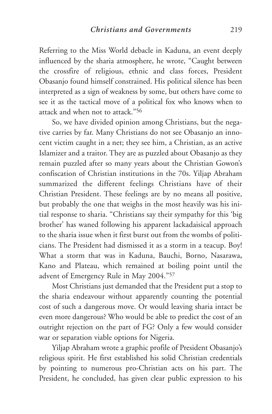Referring to the Miss World debacle in Kaduna, an event deeply influenced by the sharia atmosphere, he wrote, "Caught between the crossfire of religious, ethnic and class forces, President Obasanjo found himself constrained. His political silence has been interpreted as a sign of weakness by some, but others have come to see it as the tactical move of a political fox who knows when to attack and when not to attack."56

So, we have divided opinion among Christians, but the negative carries by far. Many Christians do not see Obasanjo an innocent victim caught in a net; they see him, a Christian, as an active Islamizer and a traitor. They are as puzzled about Obasanjo as they remain puzzled after so many years about the Christian Gowon's confiscation of Christian institutions in the 70s. Yiljap Abraham summarized the different feelings Christians have of their Christian President. These feelings are by no means all positive, but probably the one that weighs in the most heavily was his initial response to sharia. "Christians say their sympathy for this 'big brother' has waned following his apparent lackadaisical approach to the sharia issue when it first burst out from the wombs of politicians. The President had dismissed it as a storm in a teacup. Boy! What a storm that was in Kaduna, Bauchi, Borno, Nasarawa**,** Kano and Plateau, which remained at boiling point until the advent of Emergency Rule in May 2004."57

Most Christians just demanded that the President put a stop to the sharia endeavour without apparently counting the potential cost of such a dangerous move. Or would leaving sharia intact be even more dangerous? Who would be able to predict the cost of an outright rejection on the part of FG? Only a few would consider war or separation viable options for Nigeria.

Yiljap Abraham wrote a graphic profile of President Obasanjo's religious spirit. He first established his solid Christian credentials by pointing to numerous pro-Christian acts on his part. The President, he concluded, has given clear public expression to his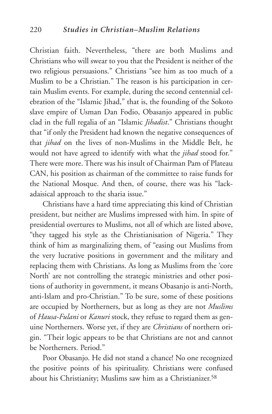Christian faith. Nevertheless, "there are both Muslims and Christians who will swear to you that the President is neither of the two religious persuasions." Christians "see him as too much of a Muslim to be a Christian." The reason is his participation in certain Muslim events. For example, during the second centennial celebration of the "Islamic Jihad," that is, the founding of the Sokoto slave empire of Usman Dan Fodio, Obasanjo appeared in public clad in the full regalia of an "Islamic *Jihadist*." Christians thought that "if only the President had known the negative consequences of that *jihad* on the lives of non-Muslims in the Middle Belt, he would not have agreed to identify with what the *jihad* stood for." There were more. There was his insult of Chairman Pam of Plateau CAN, his position as chairman of the committee to raise funds for the National Mosque. And then, of course, there was his "lackadaisical approach to the sharia issue."

Christians have a hard time appreciating this kind of Christian president, but neither are Muslims impressed with him. In spite of presidential overtures to Muslims, not all of which are listed above, "they tagged his style as the Christianisation of Nigeria." They think of him as marginalizing them, of "easing out Muslims from the very lucrative positions in government and the military and replacing them with Christians. As long as Muslims from the 'core North' are not controlling the strategic ministries and other positions of authority in government, it means Obasanjo is anti-North, anti-Islam and pro-Christian." To be sure, some of these positions are occupied by Northerners, but as long as they are not *Muslims* of *Hausa-Fulani* or *Kanuri* stock, they refuse to regard them as genuine Northerners. Worse yet, if they are *Christians* of northern origin. "Their logic appears to be that Christians are not and cannot be Northerners. Period."

Poor Obasanjo. He did not stand a chance! No one recognized the positive points of his spirituality. Christians were confused about his Christianity; Muslims saw him as a Christianizer.<sup>58</sup>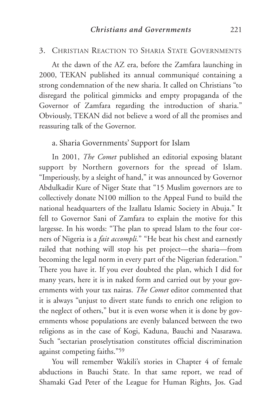#### 3. CHRISTIAN REACTION TO SHARIA STATE GOVERNMENTS

At the dawn of the AZ era, before the Zamfara launching in 2000, TEKAN published its annual communiqué containing a strong condemnation of the new sharia. It called on Christians "to disregard the political gimmicks and empty propaganda of the Governor of Zamfara regarding the introduction of sharia." Obviously, TEKAN did not believe a word of all the promises and reassuring talk of the Governor.

### a. Sharia Governments' Support for Islam

In 2001, *The Comet* published an editorial exposing blatant support by Northern governors for the spread of Islam. "Imperiously, by a sleight of hand," it was announced by Governor Abdulkadir Kure of Niger State that "15 Muslim governors are to collectively donate N100 million to the Appeal Fund to build the national headquarters of the Izallatu Islamic Society in Abuja." It fell to Governor Sani of Zamfara to explain the motive for this largesse. In his words: "The plan to spread Islam to the four corners of Nigeria is a *fait accompli.*" "He beat his chest and earnestly railed that nothing will stop his pet project—the sharia—from becoming the legal norm in every part of the Nigerian federation." There you have it. If you ever doubted the plan, which I did for many years, here it is in naked form and carried out by your governments with your tax nairas. *The Comet* editor commented that it is always "unjust to divert state funds to enrich one religion to the neglect of others," but it is even worse when it is done by governments whose populations are evenly balanced between the two religions as in the case of Kogi, Kaduna, Bauchi and Nasarawa. Such "sectarian proselytisation constitutes official discrimination against competing faiths."59

You will remember Wakili's stories in Chapter 4 of female abductions in Bauchi State. In that same report, we read of Shamaki Gad Peter of the League for Human Rights, Jos. Gad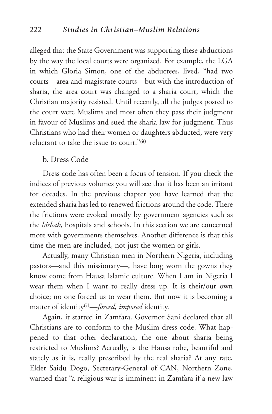alleged that the State Government was supporting these abductions by the way the local courts were organized. For example, the LGA in which Gloria Simon, one of the abductees, lived, "had two courts—area and magistrate courts—but with the introduction of sharia, the area court was changed to a sharia court, which the Christian majority resisted. Until recently, all the judges posted to the court were Muslims and most often they pass their judgment in favour of Muslims and sued the sharia law for judgment. Thus Christians who had their women or daughters abducted, were very reluctant to take the issue to court."60

#### b. Dress Code

Dress code has often been a focus of tension. If you check the indices of previous volumes you will see that it has been an irritant for decades. In the previous chapter you have learned that the extended sharia has led to renewed frictions around the code. There the frictions were evoked mostly by government agencies such as the *hisbah*, hospitals and schools. In this section we are concerned more with governments themselves. Another difference is that this time the men are included, not just the women or girls.

Actually, many Christian men in Northern Nigeria, including pastors—and this missionary—, have long worn the gowns they know come from Hausa Islamic culture. When I am in Nigeria I wear them when I want to really dress up. It is their/our own choice; no one forced us to wear them. But now it is becoming a matter of identity61—*forced, imposed* identity.

Again, it started in Zamfara. Governor Sani declared that all Christians are to conform to the Muslim dress code. What happened to that other declaration, the one about sharia being restricted to Muslims? Actually, is the Hausa robe, beautiful and stately as it is, really prescribed by the real sharia? At any rate, Elder Saidu Dogo, Secretary-General of CAN, Northern Zone, warned that "a religious war is imminent in Zamfara if a new law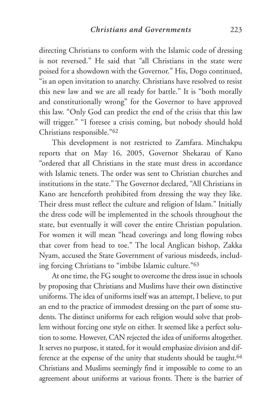directing Christians to conform with the Islamic code of dressing is not reversed." He said that "all Christians in the state were poised for a showdown with the Governor." His, Dogo continued, "is an open invitation to anarchy. Christians have resolved to resist this new law and we are all ready for battle." It is "both morally and constitutionally wrong" for the Governor to have approved this law. "Only God can predict the end of the crisis that this law will trigger." "I foresee a crisis coming, but nobody should hold Christians responsible."62

This development is not restricted to Zamfara. Minchakpu reports that on May 16, 2005, Governor Shekarau of Kano "ordered that all Christians in the state must dress in accordance with Islamic tenets. The order was sent to Christian churches and institutions in the state." The Governor declared, "All Christians in Kano are henceforth prohibited from dressing the way they like. Their dress must reflect the culture and religion of Islam." Initially the dress code will be implemented in the schools throughout the state, but eventually it will cover the entire Christian population. For women it will mean "head coverings and long flowing robes that cover from head to toe." The local Anglican bishop, Zakka Nyam, accused the State Government of various misdeeds, including forcing Christians to "imbibe Islamic culture."63

At one time, the FG sought to overcome the dress issue in schools by proposing that Christians and Muslims have their own distinctive uniforms. The idea of uniforms itself was an attempt, I believe, to put an end to the practice of immodest dressing on the part of some students. The distinct uniforms for each religion would solve that problem without forcing one style on either. It seemed like a perfect solution to some. However, CAN rejected the idea of uniforms altogether. It serves no purpose, it stated, for it would emphasize division and difference at the expense of the unity that students should be taught.<sup>64</sup> Christians and Muslims seemingly find it impossible to come to an agreement about uniforms at various fronts. There is the barrier of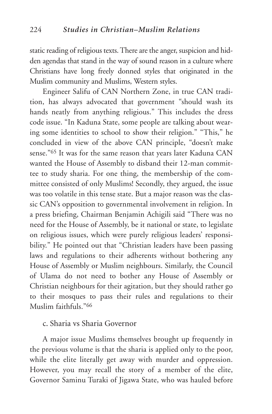static reading of religious texts. There are the anger, suspicion and hidden agendas that stand in the way of sound reason in a culture where Christians have long freely donned styles that originated in the Muslim community and Muslims, Western styles.

Engineer Salifu of CAN Northern Zone, in true CAN tradition, has always advocated that government "should wash its hands neatly from anything religious." This includes the dress code issue. "In Kaduna State, some people are talking about wearing some identities to school to show their religion." "This," he concluded in view of the above CAN principle, "doesn't make sense."65 It was for the same reason that years later Kaduna CAN wanted the House of Assembly to disband their 12-man committee to study sharia. For one thing, the membership of the committee consisted of only Muslims! Secondly, they argued, the issue was too volatile in this tense state. But a major reason was the classic CAN's opposition to governmental involvement in religion. In a press briefing, Chairman Benjamin Achigili said "There was no need for the House of Assembly, be it national or state, to legislate on religious issues, which were purely religious leaders' responsibility." He pointed out that "Christian leaders have been passing laws and regulations to their adherents without bothering any House of Assembly or Muslim neighbours. Similarly, the Council of Ulama do not need to bother any House of Assembly or Christian neighbours for their agitation, but they should rather go to their mosques to pass their rules and regulations to their Muslim faithfuls."66

#### c. Sharia vs Sharia Governor

A major issue Muslims themselves brought up frequently in the previous volume is that the sharia is applied only to the poor, while the elite literally get away with murder and oppression. However, you may recall the story of a member of the elite, Governor Saminu Turaki of Jigawa State, who was hauled before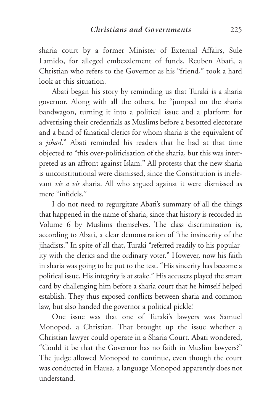sharia court by a former Minister of External Affairs, Sule Lamido, for alleged embezzlement of funds. Reuben Abati, a Christian who refers to the Governor as his "friend," took a hard look at this situation.

Abati began his story by reminding us that Turaki is a sharia governor. Along with all the others, he "jumped on the sharia bandwagon, turning it into a political issue and a platform for advertising their credentials as Muslims before a besotted electorate and a band of fanatical clerics for whom sharia is the equivalent of a *jihad*." Abati reminded his readers that he had at that time objected to "this over-politicisation of the sharia, but this was interpreted as an affront against Islam." All protests that the new sharia is unconstitutional were dismissed, since the Constitution is irrelevant *vis a vis* sharia. All who argued against it were dismissed as mere "infidels."

I do not need to regurgitate Abati's summary of all the things that happened in the name of sharia, since that history is recorded in Volume 6 by Muslims themselves. The class discrimination is, according to Abati, a clear demonstration of "the insincerity of the jihadists." In spite of all that, Turaki "referred readily to his popularity with the clerics and the ordinary voter." However, now his faith in sharia was going to be put to the test. "His sincerity has become a political issue. His integrity is at stake." His accusers played the smart card by challenging him before a sharia court that he himself helped establish. They thus exposed conflicts between sharia and common law, but also handed the governor a political pickle!

One issue was that one of Turaki's lawyers was Samuel Monopod, a Christian. That brought up the issue whether a Christian lawyer could operate in a Sharia Court. Abati wondered, "Could it be that the Governor has no faith in Muslim lawyers?" The judge allowed Monopod to continue, even though the court was conducted in Hausa, a language Monopod apparently does not understand.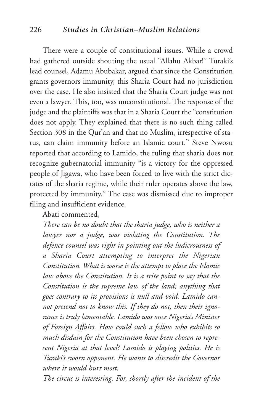#### 226 *Studies in Christian–Muslim Relations*

There were a couple of constitutional issues. While a crowd had gathered outside shouting the usual "Allahu Akbar!" Turaki's lead counsel, Adamu Abubakar, argued that since the Constitution grants governors immunity, this Sharia Court had no jurisdiction over the case. He also insisted that the Sharia Court judge was not even a lawyer. This, too, was unconstitutional. The response of the judge and the plaintiffs was that in a Sharia Court the "constitution does not apply. They explained that there is no such thing called Section 308 in the Qur'an and that no Muslim, irrespective of status, can claim immunity before an Islamic court." Steve Nwosu reported that according to Lamido, the ruling that sharia does not recognize gubernatorial immunity "is a victory for the oppressed people of Jigawa, who have been forced to live with the strict dictates of the sharia regime, while their ruler operates above the law, protected by immunity." The case was dismissed due to improper filing and insufficient evidence.

Abati commented,

*There can be no doubt that the sharia judge, who is neither a lawyer nor a judge, was violating the Constitution. The defence counsel was right in pointing out the ludicrousness of a Sharia Court attempting to interpret the Nigerian Constitution. What is worse is the attempt to place the Islamic law above the Constitution. It is a trite point to say that the Constitution is the supreme law of the land; anything that goes contrary to its provisions is null and void. Lamido cannot pretend not to know this. If they do not, then their ignorance is truly lamentable. Lamido was once Nigeria's Minister of Foreign Affairs. How could such a fellow who exhibits so much disdain for the Constitution have been chosen to represent Nigeria at that level? Lamido is playing politics. He is Turaki's sworn opponent. He wants to discredit the Governor where it would hurt most.*

*The circus is interesting. For, shortly after the incident of the*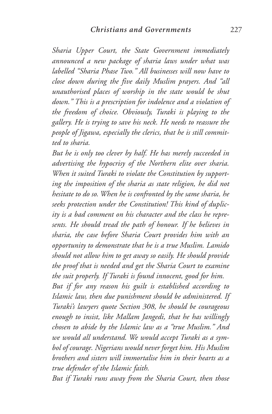*Sharia Upper Court, the State Government immediately announced a new package of sharia laws under what was labelled "Sharia Phase Two." All businesses will now have to close down during the five daily Muslim prayers. And "all unauthorised places of worship in the state would be shut down." This is a prescription for indolence and a violation of the freedom of choice. Obviously, Turaki is playing to the gallery. He is trying to save his neck. He needs to reassure the people of Jigawa, especially the clerics, that he is still committed to sharia.*

*But he is only too clever by half. He has merely succeeded in advertising the hypocrisy of the Northern elite over sharia. When it suited Turaki to violate the Constitution by supporting the imposition of the sharia as state religion, he did not hesitate to do so. When he is confronted by the same sharia, he seeks protection under the Constitution! This kind of duplicity is a bad comment on his character and the class he represents. He should tread the path of honour. If he believes in sharia, the case before Sharia Court provides him with an opportunity to demonstrate that he is a true Muslim. Lamido should not allow him to get away so easily. He should provide the proof that is needed and get the Sharia Court to examine the suit properly. If Turaki is found innocent, good for him.*

*But if for any reason his guilt is established according to Islamic law, then due punishment should be administered. If Turaki's lawyers quote Section 308, he should be courageous enough to insist, like Mallam Jangedi, that he has willingly chosen to abide by the Islamic law as a "true Muslim." And we would all understand. We would accept Turaki as a symbol of courage. Nigerians would never forget him. His Muslim brothers and sisters will immortalise him in their hearts as a true defender of the Islamic faith.*

*But if Turaki runs away from the Sharia Court, then those*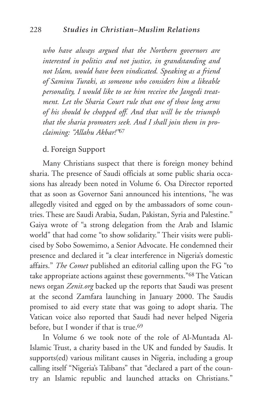*who have always argued that the Northern governors are interested in politics and not justice, in grandstanding and not Islam, would have been vindicated. Speaking as a friend of Saminu Turaki, as someone who considers him a likeable personality, I would like to see him receive the Jangedi treatment. Let the Sharia Court rule that one of those long arms of his should be chopped off. And that will be the triumph that the sharia promoters seek. And I shall join them in proclaiming: "Allahu Akbar!"*<sup>67</sup>

#### d. Foreign Support

Many Christians suspect that there is foreign money behind sharia. The presence of Saudi officials at some public sharia occasions has already been noted in Volume 6. Osa Director reported that as soon as Governor Sani announced his intentions, "he was allegedly visited and egged on by the ambassadors of some countries. These are Saudi Arabia, Sudan, Pakistan, Syria and Palestine." Gaiya wrote of "a strong delegation from the Arab and Islamic world" that had come "to show solidarity." Their visits were publicised by Sobo Sowemimo, a Senior Advocate. He condemned their presence and declared it "a clear interference in Nigeria's domestic affairs." *The Comet* published an editorial calling upon the FG "to take appropriate actions against these governments."68 The Vatican news organ *Zenit.org* backed up the reports that Saudi was present at the second Zamfara launching in January 2000. The Saudis promised to aid every state that was going to adopt sharia. The Vatican voice also reported that Saudi had never helped Nigeria before, but I wonder if that is true.<sup>69</sup>

In Volume 6 we took note of the role of Al-Muntada Al-Islamic Trust, a charity based in the UK and funded by Saudis. It supports(ed) various militant causes in Nigeria, including a group calling itself "Nigeria's Talibans" that "declared a part of the country an Islamic republic and launched attacks on Christians."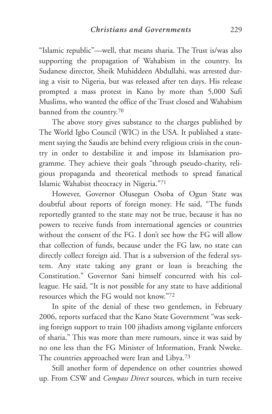"Islamic republic"—well, that means sharia. The Trust is/was also supporting the propagation of Wahabism in the country. Its Sudanese director, Sheik Muhiddeen Abdullahi, was arrested during a visit to Nigeria, but was released after ten days. His release prompted a mass protest in Kano by more than 5,000 Sufi Muslims, who wanted the office of the Trust closed and Wahabism banned from the country.70

The above story gives substance to the charges published by The World Igbo Council (WIC) in the USA. It published a statement saying the Saudis are behind every religious crisis in the country in order to destabilize it and impose its Islamisation programme. They achieve their goals "through pseudo-charity, religious propaganda and theoretical methods to spread fanatical Islamic Wahabist theocracy in Nigeria."71

However, Governor Olusegun Osoba of Ogun State was doubtful about reports of foreign money. He said, "The funds reportedly granted to the state may not be true, because it has no powers to receive funds from international agencies or countries without the consent of the FG. I don't see how the FG will allow that collection of funds, because under the FG law, no state can directly collect foreign aid. That is a subversion of the federal system. Any state taking any grant or loan is breaching the Constitution." Governor Sani himself concurred with his colleague. He said, "It is not possible for any state to have additional resources which the FG would not know."72

In spite of the denial of these two gentlemen, in February 2006, reports surfaced that the Kano State Government "was seeking foreign support to train 100 jihadists among vigilante enforcers of sharia." This was more than mere rumours, since it was said by no one less than the FG Minister of Information, Frank Nweke. The countries approached were Iran and Libya.73

Still another form of dependence on other countries showed up. From CSW and *Compass Direct* sources, which in turn receive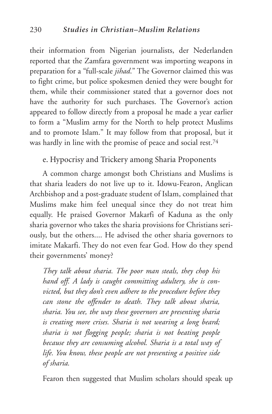their information from Nigerian journalists, der Nederlanden reported that the Zamfara government was importing weapons in preparation for a "full-scale *jihad*." The Governor claimed this was to fight crime, but police spokesmen denied they were bought for them, while their commissioner stated that a governor does not have the authority for such purchases. The Governor's action appeared to follow directly from a proposal he made a year earlier to form a "Muslim army for the North to help protect Muslims and to promote Islam." It may follow from that proposal, but it was hardly in line with the promise of peace and social rest.74

# e. Hypocrisy and Trickery among Sharia Proponents

A common charge amongst both Christians and Muslims is that sharia leaders do not live up to it. Idowu-Fearon, Anglican Archbishop and a post-graduate student of Islam, complained that Muslims make him feel unequal since they do not treat him equally. He praised Governor Makarfi of Kaduna as the only sharia governor who takes the sharia provisions for Christians seriously, but the others.... He advised the other sharia governors to imitate Makarfi. They do not even fear God. How do they spend their governments' money?

*They talk about sharia. The poor man steals, they chop his hand off. A lady is caught committing adultery, she is convicted, but they don't even adhere to the procedure before they can stone the offender to death. They talk about sharia, sharia. You see, the way these governors are presenting sharia is creating more crises. Sharia is not wearing a long beard; sharia is not flogging people; sharia is not beating people because they are consuming alcohol. Sharia is a total way of life. You know, these people are not presenting a positive side of sharia.*

Fearon then suggested that Muslim scholars should speak up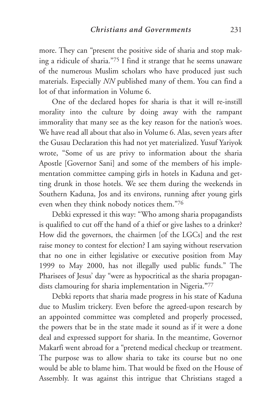more. They can "present the positive side of sharia and stop making a ridicule of sharia."75 I find it strange that he seems unaware of the numerous Muslim scholars who have produced just such materials. Especially *NN* published many of them. You can find a lot of that information in Volume 6.

One of the declared hopes for sharia is that it will re-instill morality into the culture by doing away with the rampant immorality that many see as the key reason for the nation's woes. We have read all about that also in Volume 6. Alas, seven years after the Gusau Declaration this had not yet materialized. Yusuf Yariyok wrote, "Some of us are privy to information about the sharia Apostle [Governor Sani] and some of the members of his implementation committee camping girls in hotels in Kaduna and getting drunk in those hotels. We see them during the weekends in Southern Kaduna, Jos and its environs, running after young girls even when they think nobody notices them."76

Debki expressed it this way: "Who among sharia propagandists is qualified to cut off the hand of a thief or give lashes to a drinker? How did the governors, the chairmen [of the LGCs] and the rest raise money to contest for election? I am saying without reservation that no one in either legislative or executive position from May 1999 to May 2000, has not illegally used public funds." The Pharisees of Jesus' day "were as hypocritical as the sharia propagandists clamouring for sharia implementation in Nigeria.**"**<sup>77</sup>

Debki reports that sharia made progress in his state of Kaduna due to Muslim trickery. Even before the agreed-upon research by an appointed committee was completed and properly processed, the powers that be in the state made it sound as if it were a done deal and expressed support for sharia. In the meantime, Governor Makarfi went abroad for a "pretend medical checkup or treatment. The purpose was to allow sharia to take its course but no one would be able to blame him. That would be fixed on the House of Assembly. It was against this intrigue that Christians staged a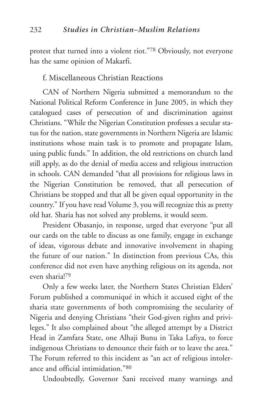protest that turned into a violent riot."78 Obviously, not everyone has the same opinion of Makarfi.

#### f. Miscellaneous Christian Reactions

CAN of Northern Nigeria submitted a memorandum to the National Political Reform Conference in June 2005, in which they catalogued cases of persecution of and discrimination against Christians. "While the Nigerian Constitution professes a secular status for the nation, state governments in Northern Nigeria are Islamic institutions whose main task is to promote and propagate Islam, using public funds." In addition, the old restrictions on church land still apply, as do the denial of media access and religious instruction in schools. CAN demanded "that all provisions for religious laws in the Nigerian Constitution be removed, that all persecution of Christians be stopped and that all be given equal opportunity in the country." If you have read Volume 3, you will recognize this as pretty old hat. Sharia has not solved any problems, it would seem.

President Obasanjo, in response, urged that everyone "put all our cards on the table to discuss as one family, engage in exchange of ideas, vigorous debate and innovative involvement in shaping the future of our nation." In distinction from previous CAs, this conference did not even have anything religious on its agenda, not even sharia!79

Only a few weeks later, the Northern States Christian Elders' Forum published a communiqué in which it accused eight of the sharia state governments of both compromising the secularity of Nigeria and denying Christians "their God-given rights and privileges." It also complained about "the alleged attempt by a District Head in Zamfara State, one Alhaji Bunu in Taka Lafiya, to force indigenous Christians to denounce their faith or to leave the area." The Forum referred to this incident as "an act of religious intolerance and official intimidation."80

Undoubtedly, Governor Sani received many warnings and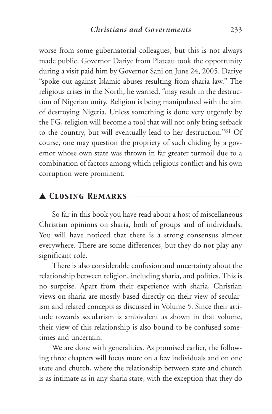worse from some gubernatorial colleagues, but this is not always made public. Governor Dariye from Plateau took the opportunity during a visit paid him by Governor Sani on June 24, 2005. Dariye "spoke out against Islamic abuses resulting from sharia law." The religious crises in the North, he warned, "may result in the destruction of Nigerian unity. Religion is being manipulated with the aim of destroying Nigeria. Unless something is done very urgently by the FG, religion will become a tool that will not only bring setback to the country, but will eventually lead to her destruction."81 Of course, one may question the propriety of such chiding by a governor whose own state was thrown in far greater turmoil due to a combination of factors among which religious conflict and his own corruption were prominent.

# ▲ *Closing Remarks* \_\_\_\_\_\_\_\_\_\_\_\_\_\_\_\_\_\_\_\_\_\_\_\_\_\_\_\_\_\_\_

So far in this book you have read about a host of miscellaneous Christian opinions on sharia, both of groups and of individuals. You will have noticed that there is a strong consensus almost everywhere. There are some differences, but they do not play any significant role.

There is also considerable confusion and uncertainty about the relationship between religion, including sharia, and politics. This is no surprise. Apart from their experience with sharia, Christian views on sharia are mostly based directly on their view of secularism and related concepts as discussed in Volume 5. Since their attitude towards secularism is ambivalent as shown in that volume, their view of this relationship is also bound to be confused sometimes and uncertain.

We are done with generalities. As promised earlier, the following three chapters will focus more on a few individuals and on one state and church, where the relationship between state and church is as intimate as in any sharia state, with the exception that they do